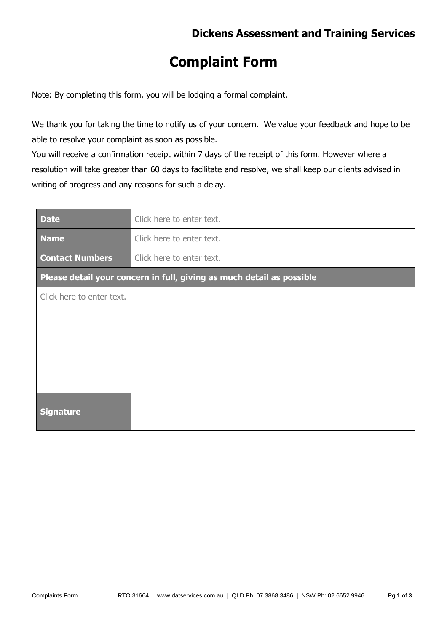## **Complaint Form**

Note: By completing this form, you will be lodging a formal complaint.

We thank you for taking the time to notify us of your concern. We value your feedback and hope to be able to resolve your complaint as soon as possible.

You will receive a confirmation receipt within 7 days of the receipt of this form. However where a resolution will take greater than 60 days to facilitate and resolve, we shall keep our clients advised in writing of progress and any reasons for such a delay.

| <b>Date</b>                                                           | Click here to enter text. |  |  |  |
|-----------------------------------------------------------------------|---------------------------|--|--|--|
| <b>Name</b>                                                           | Click here to enter text. |  |  |  |
| <b>Contact Numbers</b>                                                | Click here to enter text. |  |  |  |
| Please detail your concern in full, giving as much detail as possible |                           |  |  |  |
| Click here to enter text.                                             |                           |  |  |  |
|                                                                       |                           |  |  |  |
|                                                                       |                           |  |  |  |
|                                                                       |                           |  |  |  |
|                                                                       |                           |  |  |  |
|                                                                       |                           |  |  |  |
| <b>Signature</b>                                                      |                           |  |  |  |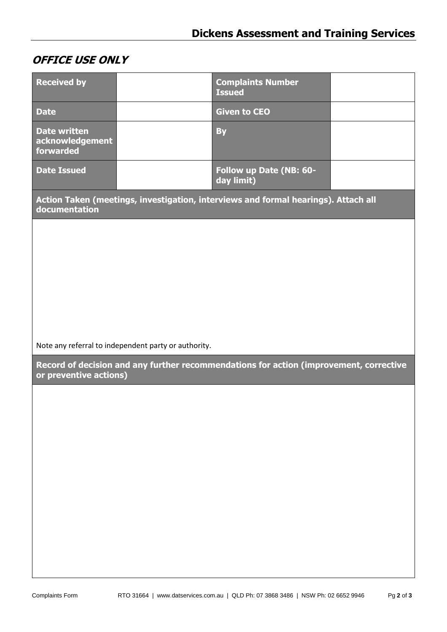## **OFFICE USE ONLY**

| <b>Received by</b>                                                                                               |  | <b>Complaints Number</b><br><b>Issued</b> |  |  |
|------------------------------------------------------------------------------------------------------------------|--|-------------------------------------------|--|--|
| <b>Date</b>                                                                                                      |  | <b>Given to CEO</b>                       |  |  |
| <b>Date written</b><br>acknowledgement<br>forwarded                                                              |  | <b>By</b>                                 |  |  |
| <b>Date Issued</b>                                                                                               |  | Follow up Date (NB: 60-<br>day limit)     |  |  |
| Action Taken (meetings, investigation, interviews and formal hearings). Attach all<br>documentation              |  |                                           |  |  |
|                                                                                                                  |  |                                           |  |  |
|                                                                                                                  |  |                                           |  |  |
|                                                                                                                  |  |                                           |  |  |
|                                                                                                                  |  |                                           |  |  |
|                                                                                                                  |  |                                           |  |  |
|                                                                                                                  |  |                                           |  |  |
| Note any referral to independent party or authority.                                                             |  |                                           |  |  |
| Record of decision and any further recommendations for action (improvement, corrective<br>or preventive actions) |  |                                           |  |  |
|                                                                                                                  |  |                                           |  |  |
|                                                                                                                  |  |                                           |  |  |
|                                                                                                                  |  |                                           |  |  |
|                                                                                                                  |  |                                           |  |  |
|                                                                                                                  |  |                                           |  |  |
|                                                                                                                  |  |                                           |  |  |
|                                                                                                                  |  |                                           |  |  |
|                                                                                                                  |  |                                           |  |  |
|                                                                                                                  |  |                                           |  |  |
|                                                                                                                  |  |                                           |  |  |